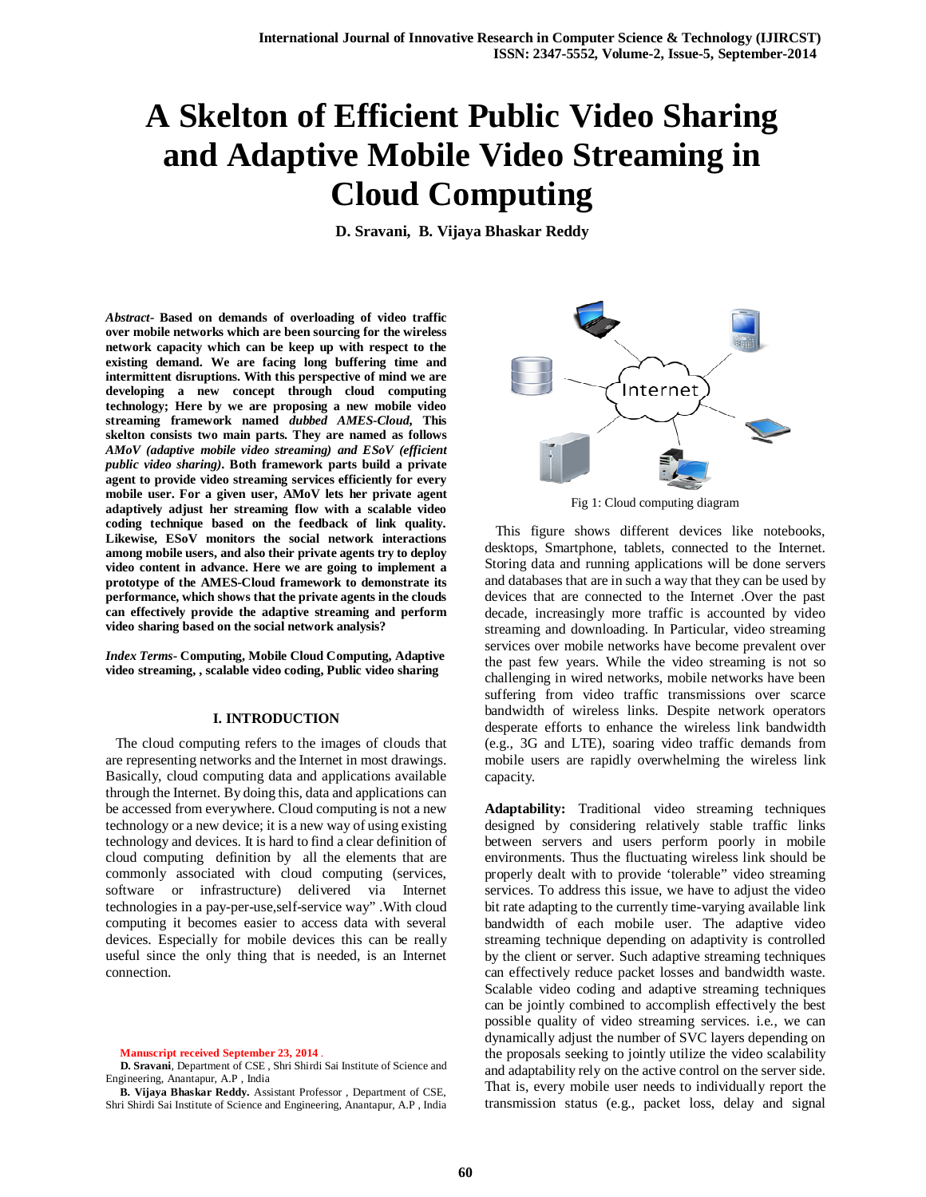# **A Skelton of Efficient Public Video Sharing and Adaptive Mobile Video Streaming in Cloud Computing**

**D. Sravani, B. Vijaya Bhaskar Reddy**

*Abstract-* **Based on demands of overloading of video traffic over mobile networks which are been sourcing for the wireless network capacity which can be keep up with respect to the existing demand. We are facing long buffering time and intermittent disruptions. With this perspective of mind we are developing a new concept through cloud computing technology; Here by we are proposing a new mobile video streaming framework named** *dubbed AMES-Cloud***, This skelton consists two main parts. They are named as follows**  *AMoV (adaptive mobile video streaming) and ESoV (efficient public video sharing)***. Both framework parts build a private agent to provide video streaming services efficiently for every mobile user. For a given user, AMoV lets her private agent adaptively adjust her streaming flow with a scalable video coding technique based on the feedback of link quality. Likewise, ESoV monitors the social network interactions among mobile users, and also their private agents try to deploy video content in advance. Here we are going to implement a prototype of the AMES-Cloud framework to demonstrate its performance, which shows that the private agents in the clouds can effectively provide the adaptive streaming and perform video sharing based on the social network analysis?**

*Index Terms***- Computing, Mobile Cloud Computing, Adaptive video streaming, , scalable video coding, Public video sharing**

## **I. INTRODUCTION**

The cloud computing refers to the images of clouds that are representing networks and the Internet in most drawings. Basically, cloud computing data and applications available through the Internet. By doing this, data and applications can be accessed from everywhere. Cloud computing is not a new technology or a new device; it is a new way of using existing technology and devices. It is hard to find a clear definition of cloud computing definition by all the elements that are commonly associated with cloud computing (services, software or infrastructure) delivered via Internet technologies in a pay-per-use,self-service way" .With cloud computing it becomes easier to access data with several devices. Especially for mobile devices this can be really useful since the only thing that is needed, is an Internet connection.

**Manuscript received September 23, 2014** .



Fig 1: Cloud computing diagram

 This figure shows different devices like notebooks, desktops, Smartphone, tablets, connected to the Internet. Storing data and running applications will be done servers and databases that are in such a way that they can be used by devices that are connected to the Internet .Over the past decade, increasingly more traffic is accounted by video streaming and downloading. In Particular, video streaming services over mobile networks have become prevalent over the past few years. While the video streaming is not so challenging in wired networks, mobile networks have been suffering from video traffic transmissions over scarce bandwidth of wireless links. Despite network operators desperate efforts to enhance the wireless link bandwidth (e.g., 3G and LTE), soaring video traffic demands from mobile users are rapidly overwhelming the wireless link capacity.

**Adaptability:** Traditional video streaming techniques designed by considering relatively stable traffic links between servers and users perform poorly in mobile environments. Thus the fluctuating wireless link should be properly dealt with to provide 'tolerable" video streaming services. To address this issue, we have to adjust the video bit rate adapting to the currently time-varying available link bandwidth of each mobile user. The adaptive video streaming technique depending on adaptivity is controlled by the client or server. Such adaptive streaming techniques can effectively reduce packet losses and bandwidth waste. Scalable video coding and adaptive streaming techniques can be jointly combined to accomplish effectively the best possible quality of video streaming services. i.e., we can dynamically adjust the number of SVC layers depending on the proposals seeking to jointly utilize the video scalability and adaptability rely on the active control on the server side. That is, every mobile user needs to individually report the transmission status (e.g., packet loss, delay and signal

**D. Sravani**, Department of CSE , Shri Shirdi Sai Institute of Science and Engineering, Anantapur, A.P , India

**B. Vijaya Bhaskar Reddy.** Assistant Professor , Department of CSE, Shri Shirdi Sai Institute of Science and Engineering, Anantapur, A.P , India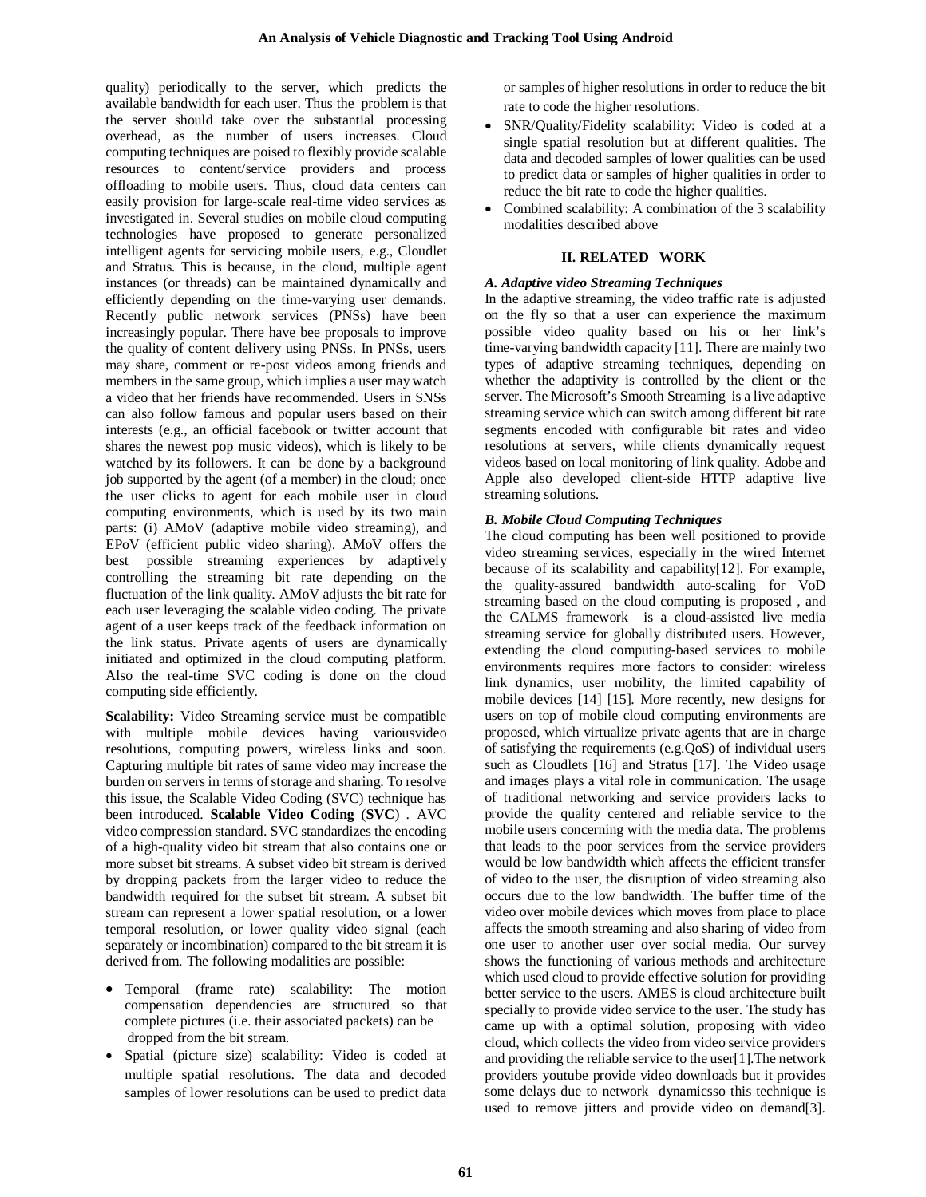quality) periodically to the server, which predicts the available bandwidth for each user. Thus the problem is that the server should take over the substantial processing overhead, as the number of users increases. Cloud computing techniques are poised to flexibly provide scalable resources to content/service providers and process offloading to mobile users. Thus, cloud data centers can easily provision for large-scale real-time video services as investigated in. Several studies on mobile cloud computing technologies have proposed to generate personalized intelligent agents for servicing mobile users, e.g., Cloudlet and Stratus. This is because, in the cloud, multiple agent instances (or threads) can be maintained dynamically and efficiently depending on the time-varying user demands. Recently public network services (PNSs) have been increasingly popular. There have bee proposals to improve the quality of content delivery using PNSs. In PNSs, users may share, comment or re-post videos among friends and members in the same group, which implies a user may watch a video that her friends have recommended. Users in SNSs can also follow famous and popular users based on their interests (e.g., an official facebook or twitter account that shares the newest pop music videos), which is likely to be watched by its followers. It can be done by a background job supported by the agent (of a member) in the cloud; once the user clicks to agent for each mobile user in cloud computing environments, which is used by its two main parts: (i) AMoV (adaptive mobile video streaming), and EPoV (efficient public video sharing). AMoV offers the best possible streaming experiences by adaptively controlling the streaming bit rate depending on the fluctuation of the link quality. AMoV adjusts the bit rate for each user leveraging the scalable video coding. The private agent of a user keeps track of the feedback information on the link status. Private agents of users are dynamically initiated and optimized in the cloud computing platform. Also the real-time SVC coding is done on the cloud computing side efficiently.

**Scalability:** Video Streaming service must be compatible with multiple mobile devices having variousvideo resolutions, computing powers, wireless links and soon. Capturing multiple bit rates of same video may increase the burden on servers in terms of storage and sharing. To resolve this issue, the Scalable Video Coding (SVC) technique has been introduced. **Scalable Video Coding** (**SVC**) . AVC video compression standard. SVC standardizes the encoding of a high-quality video bit stream that also contains one or more subset bit streams. A subset video bit stream is derived by dropping packets from the larger video to reduce the bandwidth required for the subset bit stream. A subset bit stream can represent a lower spatial resolution, or a lower temporal resolution, or lower quality video signal (each separately or incombination) compared to the bit stream it is derived from. The following modalities are possible:

- Temporal (frame rate) scalability: The motion compensation dependencies are structured so that complete pictures (i.e. their associated packets) can be dropped from the bit stream.
- Spatial (picture size) scalability: Video is coded at multiple spatial resolutions. The data and decoded samples of lower resolutions can be used to predict data

or samples of higher resolutions in order to reduce the bit rate to code the higher resolutions.

- SNR/Quality/Fidelity scalability: Video is coded at a single spatial resolution but at different qualities. The data and decoded samples of lower qualities can be used to predict data or samples of higher qualities in order to reduce the bit rate to code the higher qualities.
- Combined scalability: A combination of the 3 scalability modalities described above

# **II. RELATED WORK**

## *A. Adaptive video Streaming Techniques*

In the adaptive streaming, the video traffic rate is adjusted on the fly so that a user can experience the maximum possible video quality based on his or her link's time-varying bandwidth capacity [11]. There are mainly two types of adaptive streaming techniques, depending on whether the adaptivity is controlled by the client or the server. The Microsoft's Smooth Streaming is a live adaptive streaming service which can switch among different bit rate segments encoded with configurable bit rates and video resolutions at servers, while clients dynamically request videos based on local monitoring of link quality. Adobe and Apple also developed client-side HTTP adaptive live streaming solutions.

# *B. Mobile Cloud Computing Techniques*

The cloud computing has been well positioned to provide video streaming services, especially in the wired Internet because of its scalability and capability[12]. For example, the quality-assured bandwidth auto-scaling for VoD streaming based on the cloud computing is proposed , and the CALMS framework is a cloud-assisted live media streaming service for globally distributed users. However, extending the cloud computing-based services to mobile environments requires more factors to consider: wireless link dynamics, user mobility, the limited capability of mobile devices [14] [15]. More recently, new designs for users on top of mobile cloud computing environments are proposed, which virtualize private agents that are in charge of satisfying the requirements (e.g.QoS) of individual users such as Cloudlets [16] and Stratus [17]. The Video usage and images plays a vital role in communication. The usage of traditional networking and service providers lacks to provide the quality centered and reliable service to the mobile users concerning with the media data. The problems that leads to the poor services from the service providers would be low bandwidth which affects the efficient transfer of video to the user, the disruption of video streaming also occurs due to the low bandwidth. The buffer time of the video over mobile devices which moves from place to place affects the smooth streaming and also sharing of video from one user to another user over social media. Our survey shows the functioning of various methods and architecture which used cloud to provide effective solution for providing better service to the users. AMES is cloud architecture built specially to provide video service to the user. The study has came up with a optimal solution, proposing with video cloud, which collects the video from video service providers and providing the reliable service to the user[1].The network providers youtube provide video downloads but it provides some delays due to network dynamicsso this technique is used to remove jitters and provide video on demand[3].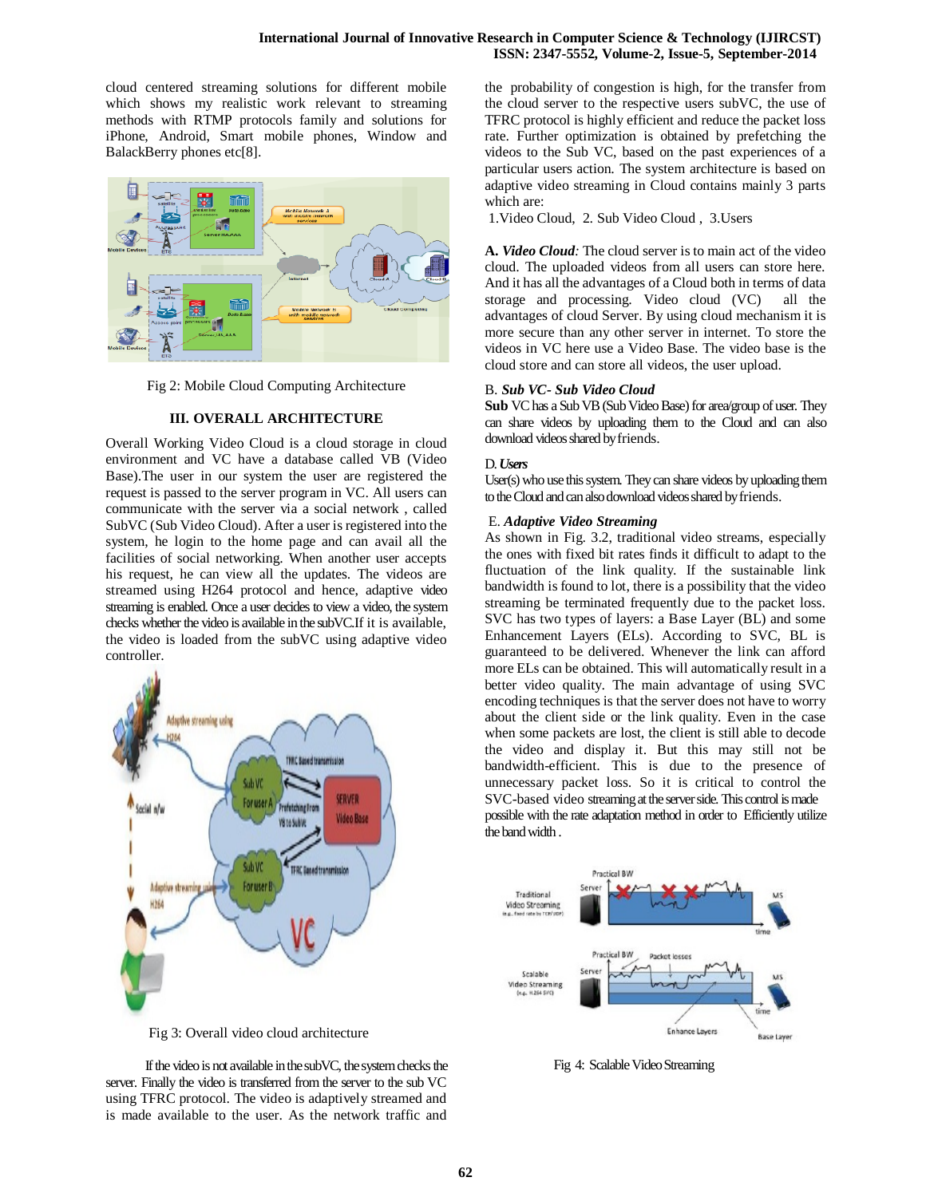## **International Journal of Innovative Research in Computer Science & Technology (IJIRCST) ISSN: 2347-5552, Volume-2, Issue-5, September-2014**

cloud centered streaming solutions for different mobile which shows my realistic work relevant to streaming methods with RTMP protocols family and solutions for iPhone, Android, Smart mobile phones, Window and BalackBerry phones etc[8].



Fig 2: Mobile Cloud Computing Architecture

## **III. OVERALL ARCHITECTURE**

Overall Working Video Cloud is a cloud storage in cloud environment and VC have a database called VB (Video Base).The user in our system the user are registered the request is passed to the server program in VC. All users can communicate with the server via a social network , called SubVC (Sub Video Cloud). After a user is registered into the system, he login to the home page and can avail all the facilities of social networking. When another user accepts his request, he can view all the updates. The videos are streamed using H264 protocol and hence, adaptive video streaming is enabled. Once a user decides to view a video, the system checks whether the video is available in the subVC.If it is available, the video is loaded from the subVC using adaptive video controller.



Fig 3: Overall video cloud architecture

 If the video is not available in the subVC, the system checks the server. Finally the video is transferred from the server to the sub VC using TFRC protocol. The video is adaptively streamed and is made available to the user. As the network traffic and

the probability of congestion is high, for the transfer from the cloud server to the respective users subVC, the use of TFRC protocol is highly efficient and reduce the packet loss rate. Further optimization is obtained by prefetching the videos to the Sub VC, based on the past experiences of a particular users action. The system architecture is based on adaptive video streaming in Cloud contains mainly 3 parts which are:

1.Video Cloud, 2. Sub Video Cloud , 3.Users

**A.** *Video Cloud:* The cloud server is to main act of the video cloud. The uploaded videos from all users can store here. And it has all the advantages of a Cloud both in terms of data storage and processing. Video cloud (VC) all the advantages of cloud Server. By using cloud mechanism it is more secure than any other server in internet. To store the videos in VC here use a Video Base. The video base is the cloud store and can store all videos, the user upload.

## B. *Sub VC- Sub Video Cloud*

Sub VC has a Sub VB (Sub Video Base) for area/group of user. They can share videos by uploading them to the Cloud and can also download videos shared by friends.

## D. *Users*

User(s) who use this system. They can share videos by uploading them to the Cloud and can also download videos shared by friends.

## E. *Adaptive Video Streaming*

As shown in Fig. 3.2, traditional video streams, especially the ones with fixed bit rates finds it difficult to adapt to the fluctuation of the link quality. If the sustainable link bandwidth is found to lot, there is a possibility that the video streaming be terminated frequently due to the packet loss. SVC has two types of layers: a Base Layer (BL) and some Enhancement Layers (ELs). According to SVC, BL is guaranteed to be delivered. Whenever the link can afford more ELs can be obtained. This will automatically result in a better video quality. The main advantage of using SVC encoding techniques is that the server does not have to worry about the client side or the link quality. Even in the case when some packets are lost, the client is still able to decode the video and display it. But this may still not be bandwidth-efficient. This is due to the presence of unnecessary packet loss. So it is critical to control the SVC-based video streaming at the server side. This control is made possible with the rate adaptation method in order to Efficiently utilize the band width .



Fig 4: Scalable Video Streaming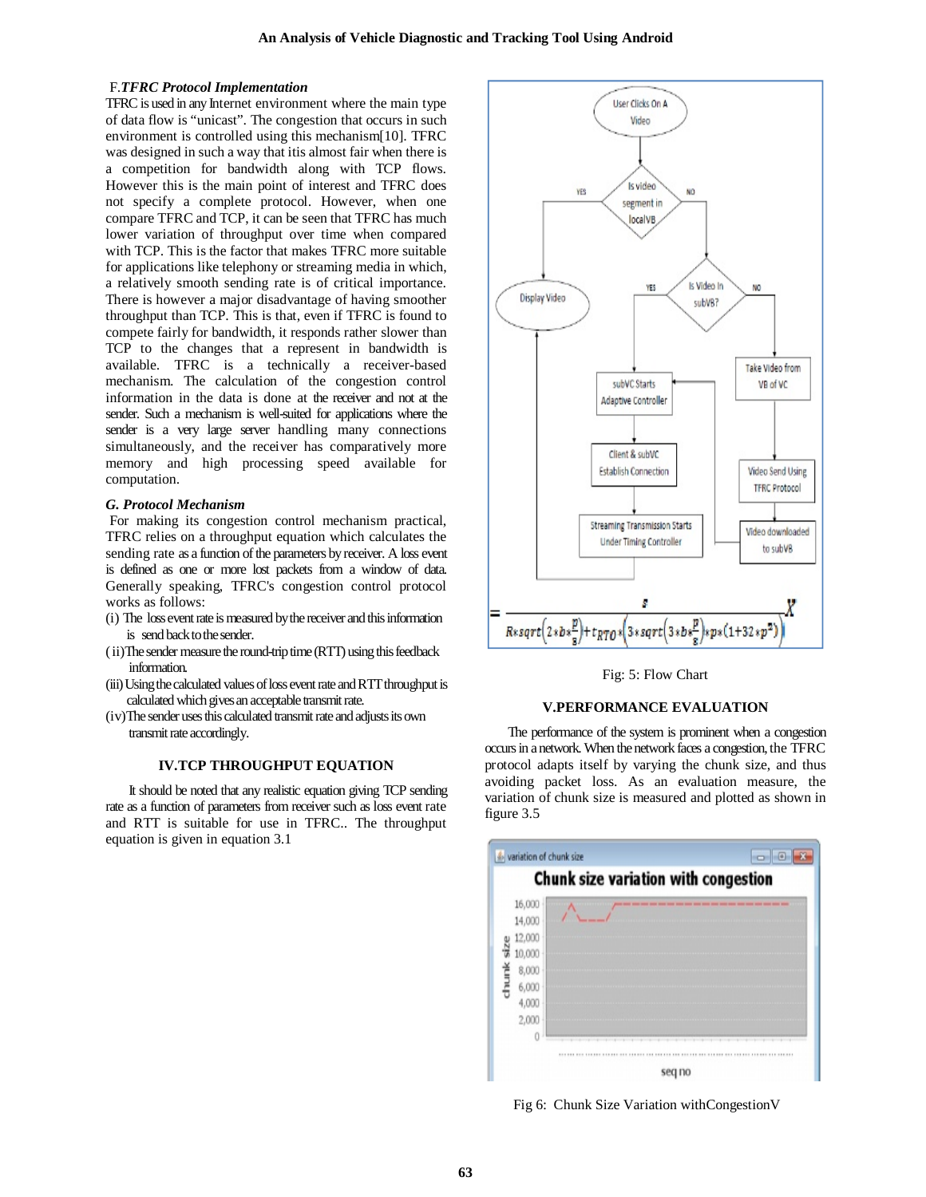## F.*TFRC Protocol Implementation*

TFRC is used in any Internet environment where the main type of data flow is "unicast". The congestion that occurs in such environment is controlled using this mechanism[10]. TFRC was designed in such a way that itis almost fair when there is a competition for bandwidth along with TCP flows. However this is the main point of interest and TFRC does not specify a complete protocol. However, when one compare TFRC and TCP, it can be seen that TFRC has much lower variation of throughput over time when compared with TCP. This is the factor that makes TFRC more suitable for applications like telephony or streaming media in which, a relatively smooth sending rate is of critical importance. There is however a major disadvantage of having smoother throughput than TCP. This is that, even if TFRC is found to compete fairly for bandwidth, it responds rather slower than TCP to the changes that a represent in bandwidth is available. TFRC is a technically a receiver-based mechanism. The calculation of the congestion control information in the data is done at the receiver and not at the sender. Such a mechanism is well-suited for applications where the sender is a very large server handling many connections simultaneously, and the receiver has comparatively more memory and high processing speed available for computation.

## *G. Protocol Mechanism*

For making its congestion control mechanism practical, TFRC relies on a throughput equation which calculates the sending rate as a function of the parameters by receiver. A loss event is defined as one or more lost packets from a window of data. Generally speaking, TFRC's congestion control protocol works as follows:

- (i) The loss event rate is measured by the receiver and this information is send back to the sender.
- (ii)The sender measure the round-trip time (RTT) using this feedback information.
- (iii)Using the calculated values of loss event rate and RTT throughput is calculated which gives an acceptable transmit rate.
- (iv)The sender uses this calculated transmit rate and adjusts its own transmit rate accordingly.

## **IV.TCP THROUGHPUT EQUATION**

 It should be noted that any realistic equation giving TCP sending rate as a function of parameters from receiver such as loss event rate and RTT is suitable for use in TFRC.. The throughput equation is given in equation 3.1



Fig: 5: Flow Chart

## **V.PERFORMANCE EVALUATION**

 The performance of the system is prominent when a congestion occurs in a network. When the network faces a congestion, the TFRC protocol adapts itself by varying the chunk size, and thus avoiding packet loss. As an evaluation measure, the variation of chunk size is measured and plotted as shown in figure 3.5



Fig 6: Chunk Size Variation withCongestionV